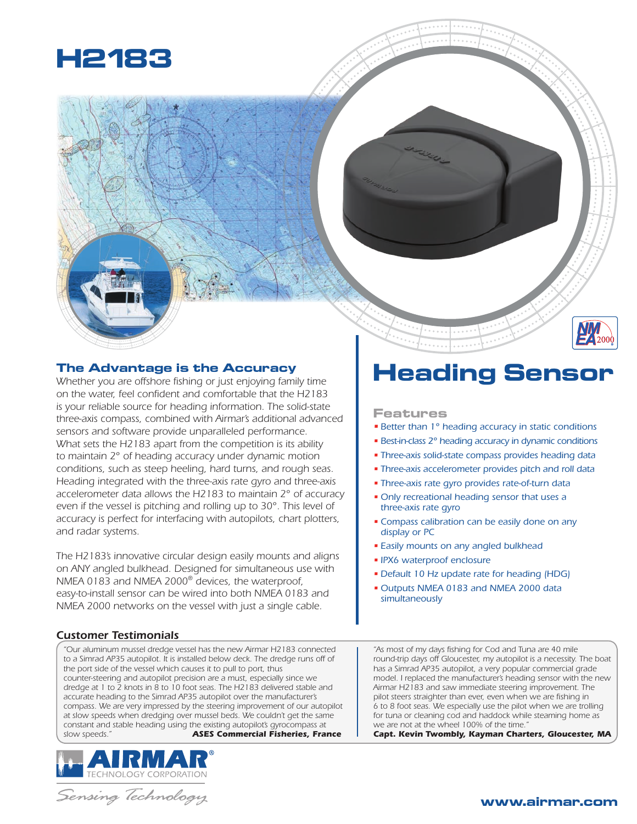

### **The Advantage is the Accuracy**

*Whether you are offshore fishing or just enjoying family time on the water, feel confident and comfortable that the H2183 is your reliable source for heading information. The solid-state three-axis compass, combined with Airmar's additional advanced sensors and software provide unparalleled performance. What sets the H2183 apart from the competition is its ability to maintain 2° of heading accuracy under dynamic motion conditions, such as steep heeling, hard turns, and rough seas. Heading integrated with the three-axis rate gyro and three-axis accelerometer data allows the H2183 to maintain 2° of accuracy even if the vessel is pitching and rolling up to 30°. This level of accuracy is perfect for interfacing with autopilots, chart plotters, and radar systems.* 

*The H2183's innovative circular design easily mounts and aligns on ANY angled bulkhead. Designed for simultaneous use with NMEA 0183 and NMEA 2000® devices, the waterproof, easy-to-install sensor can be wired into both NMEA 0183 and NMEA 2000 networks on the vessel with just a single cable.*

### *Customer Testimonials*

*"Our aluminum mussel dredge vessel has the new Airmar H2183 connected*  to a Simrad AP35 autopilot. It is installed below deck. The dredge runs off of *the port side of the vessel which causes it to pull to port, thus counter-steering and autopilot precision are a must, especially since we dredge at 1 to 2 knots in 8 to 10 foot seas. The H2183 delivered stable and accurate heading to the Simrad AP35 autopilot over the manufacturer's compass. We are very impressed by the steering improvement of our autopilot at slow speeds when dredging over mussel beds. We couldn't get the same constant and stable heading using the existing autopilot's gyrocompass at slow speeds." ASES Commercial Fisheries, France*



# Sensing Technology

# **Heading Sensor**

### **Features**

- *• Better than 1° heading accuracy in static conditions*
- *• Best-in-class 2° heading accuracy in dynamic conditions*
- *• Three-axis solid-state compass provides heading data*
- *• Three-axis accelerometer provides pitch and roll data*
- *• Three-axis rate gyro provides rate-of-turn data*
- *• Only recreational heading sensor that uses a three-axis rate gyro*
- *• Compass calibration can be easily done on any display or PC*
- *• Easily mounts on any angled bulkhead*
- *• IPX6 waterproof enclosure*
- *• Default 10 Hz update rate for heading (HDG)*
- *• Outputs NMEA 0183 and NMEA 2000 data simultaneously*

*"As most of my days fishing for Cod and Tuna are 40 mile round-trip days off Gloucester, my autopilot is a necessity. The boat has a Simrad AP35 autopilot, a very popular commercial grade model. I replaced the manufacturer's heading sensor with the new Airmar H2183 and saw immediate steering improvement. The pilot steers straighter than ever, even when we are fishing in 6 to 8 foot seas. We especially use the pilot when we are trolling for tuna or cleaning cod and haddock while steaming home as we are not at the wheel 100% of the time."*

*Capt. Kevin Twombly, Kayman Charters, Gloucester, MA*

## **www.airmar.com**